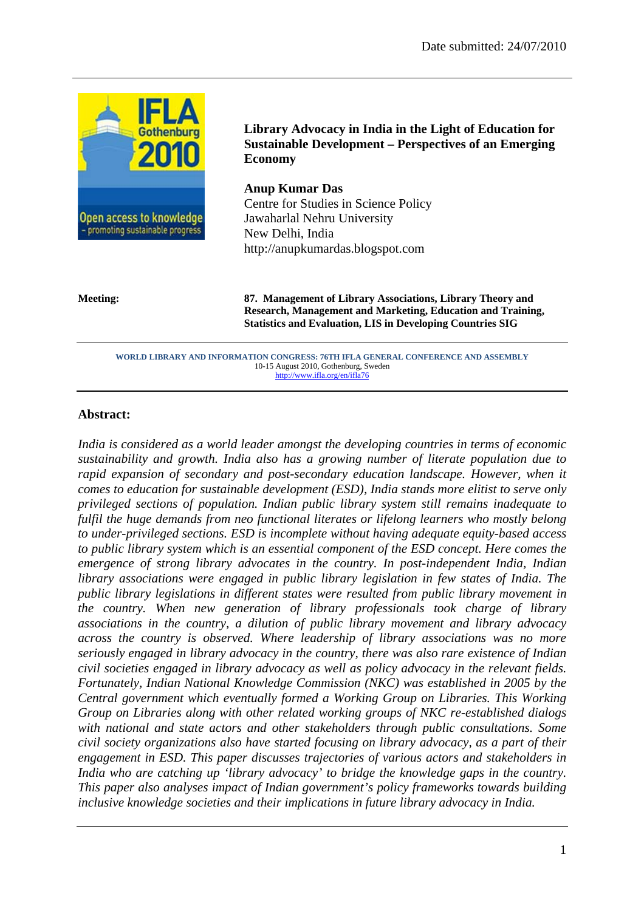

**Library Advocacy in India in the Light of Education for Sustainable Development – Perspectives of an Emerging Economy** 

**Anup Kumar Das**  Centre for Studies in Science Policy Jawaharlal Nehru University New Delhi, India http://anupkumardas.blogspot.com

**Meeting: 87. Management of Library Associations, Library Theory and Research, Management and Marketing, Education and Training, Statistics and Evaluation, LIS in Developing Countries SIG** 

**WORLD LIBRARY AND INFORMATION CONGRESS: 76TH IFLA GENERAL CONFERENCE AND ASSEMBLY**  10-15 August 2010, Gothenburg, Sweden http://www.ifla.org/en/ifla76

#### **Abstract:**

*India is considered as a world leader amongst the developing countries in terms of economic sustainability and growth. India also has a growing number of literate population due to rapid expansion of secondary and post-secondary education landscape. However, when it comes to education for sustainable development (ESD), India stands more elitist to serve only privileged sections of population. Indian public library system still remains inadequate to fulfil the huge demands from neo functional literates or lifelong learners who mostly belong to under-privileged sections. ESD is incomplete without having adequate equity-based access to public library system which is an essential component of the ESD concept. Here comes the emergence of strong library advocates in the country. In post-independent India, Indian library associations were engaged in public library legislation in few states of India. The public library legislations in different states were resulted from public library movement in the country. When new generation of library professionals took charge of library associations in the country, a dilution of public library movement and library advocacy across the country is observed. Where leadership of library associations was no more seriously engaged in library advocacy in the country, there was also rare existence of Indian civil societies engaged in library advocacy as well as policy advocacy in the relevant fields. Fortunately, Indian National Knowledge Commission (NKC) was established in 2005 by the Central government which eventually formed a Working Group on Libraries. This Working Group on Libraries along with other related working groups of NKC re-established dialogs with national and state actors and other stakeholders through public consultations. Some civil society organizations also have started focusing on library advocacy, as a part of their engagement in ESD. This paper discusses trajectories of various actors and stakeholders in India who are catching up 'library advocacy' to bridge the knowledge gaps in the country. This paper also analyses impact of Indian government's policy frameworks towards building inclusive knowledge societies and their implications in future library advocacy in India.*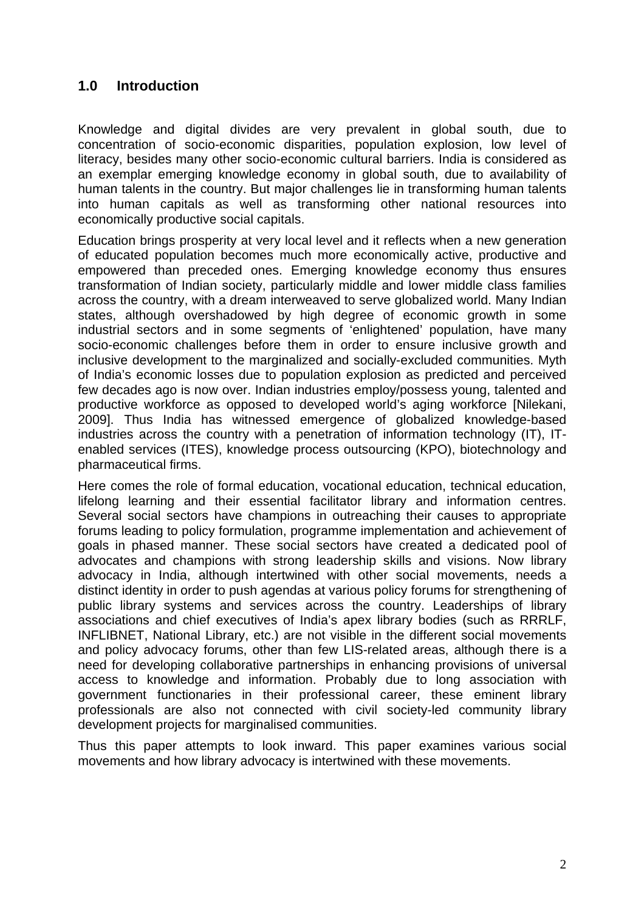## **1.0 Introduction**

Knowledge and digital divides are very prevalent in global south, due to concentration of socio-economic disparities, population explosion, low level of literacy, besides many other socio-economic cultural barriers. India is considered as an exemplar emerging knowledge economy in global south, due to availability of human talents in the country. But major challenges lie in transforming human talents into human capitals as well as transforming other national resources into economically productive social capitals.

Education brings prosperity at very local level and it reflects when a new generation of educated population becomes much more economically active, productive and empowered than preceded ones. Emerging knowledge economy thus ensures transformation of Indian society, particularly middle and lower middle class families across the country, with a dream interweaved to serve globalized world. Many Indian states, although overshadowed by high degree of economic growth in some industrial sectors and in some segments of 'enlightened' population, have many socio-economic challenges before them in order to ensure inclusive growth and inclusive development to the marginalized and socially-excluded communities. Myth of India's economic losses due to population explosion as predicted and perceived few decades ago is now over. Indian industries employ/possess young, talented and productive workforce as opposed to developed world's aging workforce [Nilekani, 2009]. Thus India has witnessed emergence of globalized knowledge-based industries across the country with a penetration of information technology (IT), ITenabled services (ITES), knowledge process outsourcing (KPO), biotechnology and pharmaceutical firms.

Here comes the role of formal education, vocational education, technical education, lifelong learning and their essential facilitator library and information centres. Several social sectors have champions in outreaching their causes to appropriate forums leading to policy formulation, programme implementation and achievement of goals in phased manner. These social sectors have created a dedicated pool of advocates and champions with strong leadership skills and visions. Now library advocacy in India, although intertwined with other social movements, needs a distinct identity in order to push agendas at various policy forums for strengthening of public library systems and services across the country. Leaderships of library associations and chief executives of India's apex library bodies (such as RRRLF, INFLIBNET, National Library, etc.) are not visible in the different social movements and policy advocacy forums, other than few LIS-related areas, although there is a need for developing collaborative partnerships in enhancing provisions of universal access to knowledge and information. Probably due to long association with government functionaries in their professional career, these eminent library professionals are also not connected with civil society-led community library development projects for marginalised communities.

Thus this paper attempts to look inward. This paper examines various social movements and how library advocacy is intertwined with these movements.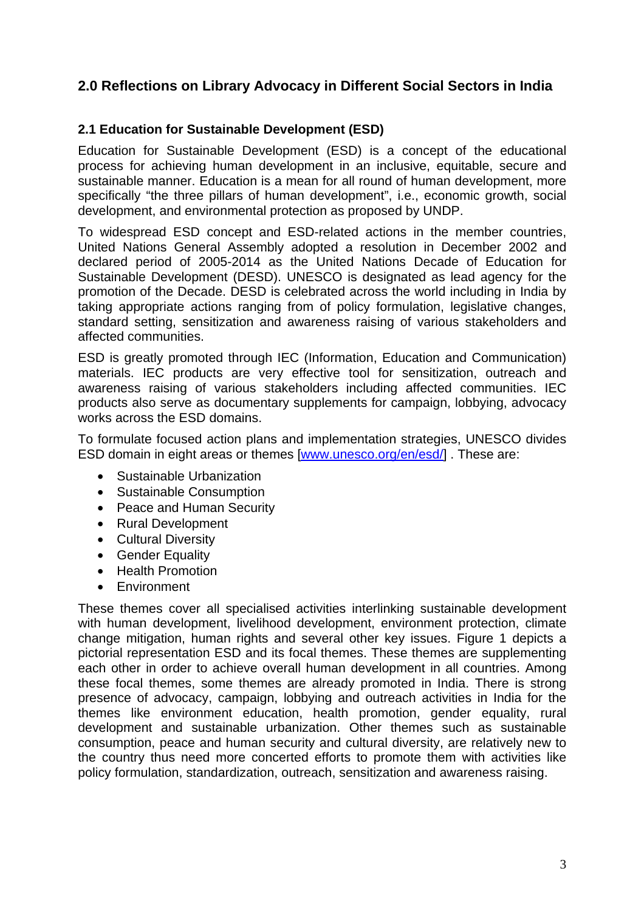## **2.0 Reflections on Library Advocacy in Different Social Sectors in India**

#### **2.1 Education for Sustainable Development (ESD)**

Education for Sustainable Development (ESD) is a concept of the educational process for achieving human development in an inclusive, equitable, secure and sustainable manner. Education is a mean for all round of human development, more specifically "the three pillars of human development", i.e., economic growth, social development, and environmental protection as proposed by UNDP.

To widespread ESD concept and ESD-related actions in the member countries, United Nations General Assembly adopted a resolution in December 2002 and declared period of 2005-2014 as the United Nations Decade of Education for Sustainable Development (DESD). UNESCO is designated as lead agency for the promotion of the Decade. DESD is celebrated across the world including in India by taking appropriate actions ranging from of policy formulation, legislative changes, standard setting, sensitization and awareness raising of various stakeholders and affected communities.

ESD is greatly promoted through IEC (Information, Education and Communication) materials. IEC products are very effective tool for sensitization, outreach and awareness raising of various stakeholders including affected communities. IEC products also serve as documentary supplements for campaign, lobbying, advocacy works across the ESD domains.

To formulate focused action plans and implementation strategies, UNESCO divides ESD domain in eight areas or themes [www.unesco.org/en/esd/] . These are:

- Sustainable Urbanization
- Sustainable Consumption
- Peace and Human Security
- Rural Development
- Cultural Diversity
- Gender Equality
- Health Promotion
- Environment

These themes cover all specialised activities interlinking sustainable development with human development, livelihood development, environment protection, climate change mitigation, human rights and several other key issues. Figure 1 depicts a pictorial representation ESD and its focal themes. These themes are supplementing each other in order to achieve overall human development in all countries. Among these focal themes, some themes are already promoted in India. There is strong presence of advocacy, campaign, lobbying and outreach activities in India for the themes like environment education, health promotion, gender equality, rural development and sustainable urbanization. Other themes such as sustainable consumption, peace and human security and cultural diversity, are relatively new to the country thus need more concerted efforts to promote them with activities like policy formulation, standardization, outreach, sensitization and awareness raising.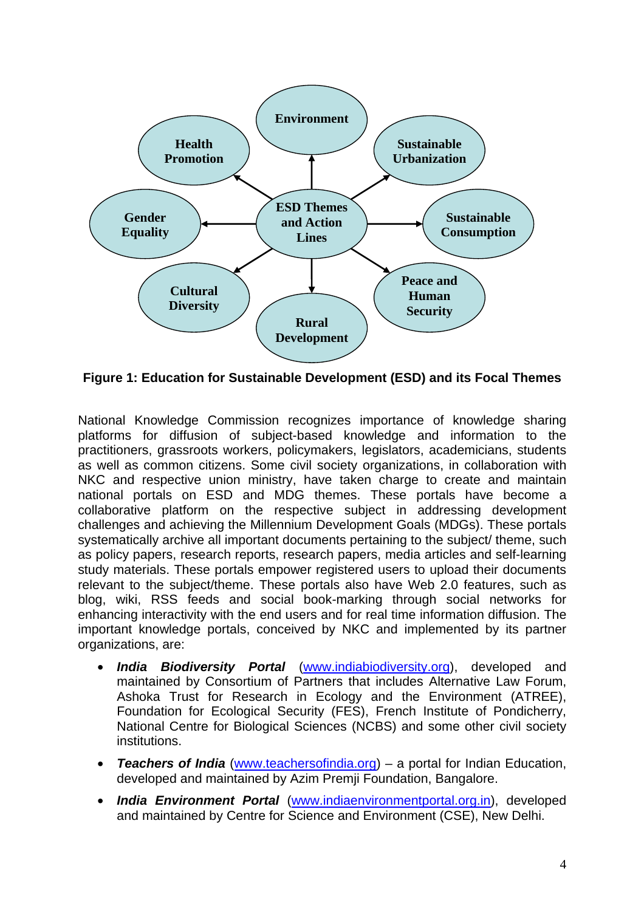

**Figure 1: Education for Sustainable Development (ESD) and its Focal Themes** 

National Knowledge Commission recognizes importance of knowledge sharing platforms for diffusion of subject-based knowledge and information to the practitioners, grassroots workers, policymakers, legislators, academicians, students as well as common citizens. Some civil society organizations, in collaboration with NKC and respective union ministry, have taken charge to create and maintain national portals on ESD and MDG themes. These portals have become a collaborative platform on the respective subject in addressing development challenges and achieving the Millennium Development Goals (MDGs). These portals systematically archive all important documents pertaining to the subject/ theme, such as policy papers, research reports, research papers, media articles and self-learning study materials. These portals empower registered users to upload their documents relevant to the subject/theme. These portals also have Web 2.0 features, such as blog, wiki, RSS feeds and social book-marking through social networks for enhancing interactivity with the end users and for real time information diffusion. The important knowledge portals, conceived by NKC and implemented by its partner organizations, are:

- *India Biodiversity Portal* (www.indiabiodiversity.org), developed and maintained by Consortium of Partners that includes Alternative Law Forum, Ashoka Trust for Research in Ecology and the Environment (ATREE), Foundation for Ecological Security (FES), French Institute of Pondicherry, National Centre for Biological Sciences (NCBS) and some other civil society institutions.
- *Teachers of India* (www.teachersofindia.org) a portal for Indian Education, developed and maintained by Azim Premji Foundation, Bangalore.
- *India Environment Portal* (www.indiaenvironmentportal.org.in), developed and maintained by Centre for Science and Environment (CSE), New Delhi.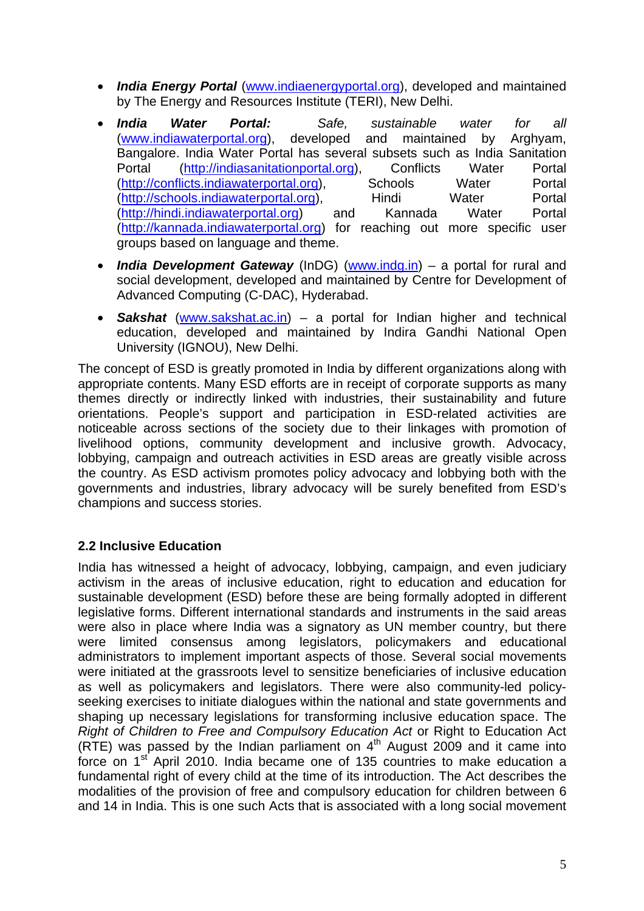- *India Energy Portal* (www.indiaenergyportal.org), developed and maintained by The Energy and Resources Institute (TERI), New Delhi.
- *India Water Portal: Safe, sustainable water for all* (www.indiawaterportal.org), developed and maintained by Arghyam, Bangalore. India Water Portal has several subsets such as India Sanitation Portal (http://indiasanitationportal.org), Conflicts Water Portal (http://conflicts.indiawaterportal.org), Schools Water Portal (http://schools.indiawaterportal.org), Hindi Water Portal (http://hindi.indiawaterportal.org) and Kannada Water Portal (http://kannada.indiawaterportal.org) for reaching out more specific user groups based on language and theme.
- *India Development Gateway* (InDG) (www.indg.in) a portal for rural and social development, developed and maintained by Centre for Development of Advanced Computing (C-DAC), Hyderabad.
- *Sakshat* (www.sakshat.ac.in) a portal for Indian higher and technical education, developed and maintained by Indira Gandhi National Open University (IGNOU), New Delhi.

The concept of ESD is greatly promoted in India by different organizations along with appropriate contents. Many ESD efforts are in receipt of corporate supports as many themes directly or indirectly linked with industries, their sustainability and future orientations. People's support and participation in ESD-related activities are noticeable across sections of the society due to their linkages with promotion of livelihood options, community development and inclusive growth. Advocacy, lobbying, campaign and outreach activities in ESD areas are greatly visible across the country. As ESD activism promotes policy advocacy and lobbying both with the governments and industries, library advocacy will be surely benefited from ESD's champions and success stories.

## **2.2 Inclusive Education**

India has witnessed a height of advocacy, lobbying, campaign, and even judiciary activism in the areas of inclusive education, right to education and education for sustainable development (ESD) before these are being formally adopted in different legislative forms. Different international standards and instruments in the said areas were also in place where India was a signatory as UN member country, but there were limited consensus among legislators, policymakers and educational administrators to implement important aspects of those. Several social movements were initiated at the grassroots level to sensitize beneficiaries of inclusive education as well as policymakers and legislators. There were also community-led policyseeking exercises to initiate dialogues within the national and state governments and shaping up necessary legislations for transforming inclusive education space. The *Right of Children to Free and Compulsory Education Act* or Right to Education Act (RTE) was passed by the Indian parliament on  $4<sup>th</sup>$  August 2009 and it came into force on 1<sup>st</sup> April 2010. India became one of 135 countries to make education a fundamental right of every child at the time of its introduction. The Act describes the modalities of the provision of free and compulsory education for children between 6 and 14 in India. This is one such Acts that is associated with a long social movement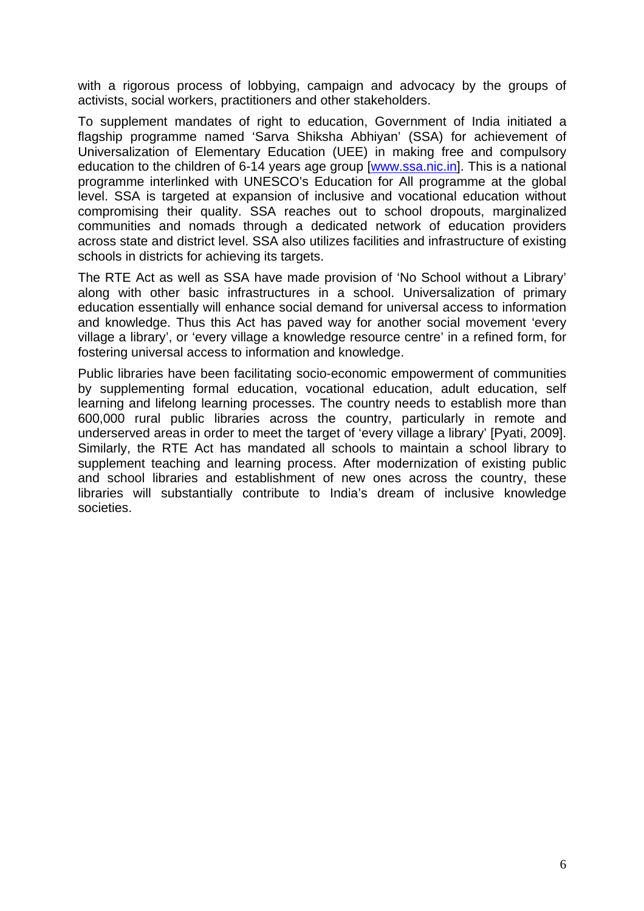with a rigorous process of lobbying, campaign and advocacy by the groups of activists, social workers, practitioners and other stakeholders.

To supplement mandates of right to education, Government of India initiated a flagship programme named 'Sarva Shiksha Abhiyan' (SSA) for achievement of Universalization of Elementary Education (UEE) in making free and compulsory education to the children of 6-14 years age group [www.ssa.nic.in]. This is a national programme interlinked with UNESCO's Education for All programme at the global level. SSA is targeted at expansion of inclusive and vocational education without compromising their quality. SSA reaches out to school dropouts, marginalized communities and nomads through a dedicated network of education providers across state and district level. SSA also utilizes facilities and infrastructure of existing schools in districts for achieving its targets.

The RTE Act as well as SSA have made provision of 'No School without a Library' along with other basic infrastructures in a school. Universalization of primary education essentially will enhance social demand for universal access to information and knowledge. Thus this Act has paved way for another social movement 'every village a library', or 'every village a knowledge resource centre' in a refined form, for fostering universal access to information and knowledge.

Public libraries have been facilitating socio-economic empowerment of communities by supplementing formal education, vocational education, adult education, self learning and lifelong learning processes. The country needs to establish more than 600,000 rural public libraries across the country, particularly in remote and underserved areas in order to meet the target of 'every village a library' [Pyati, 2009]. Similarly, the RTE Act has mandated all schools to maintain a school library to supplement teaching and learning process. After modernization of existing public and school libraries and establishment of new ones across the country, these libraries will substantially contribute to India's dream of inclusive knowledge societies.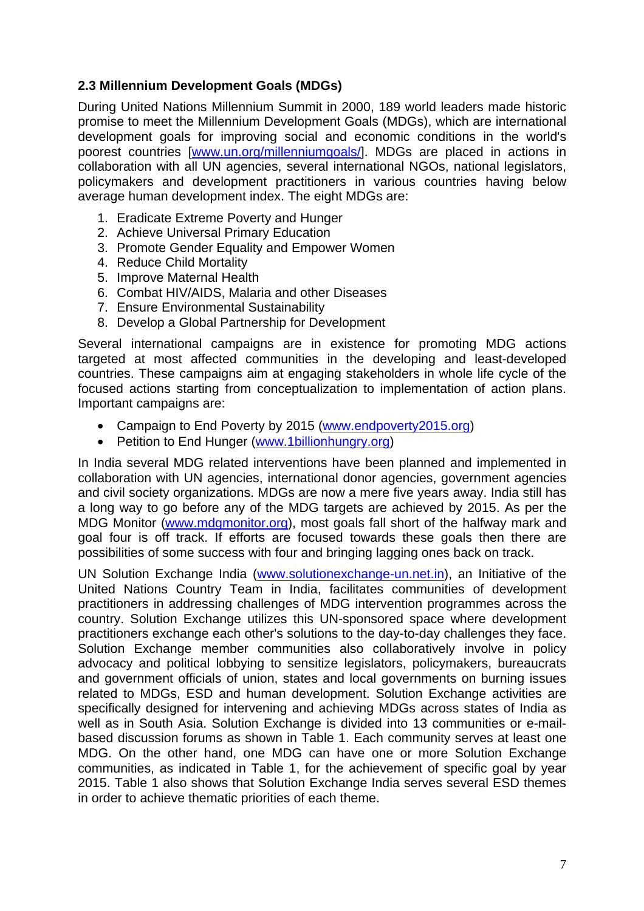## **2.3 Millennium Development Goals (MDGs)**

During United Nations Millennium Summit in 2000, 189 world leaders made historic promise to meet the Millennium Development Goals (MDGs), which are international development goals for improving social and economic conditions in the world's poorest countries [www.un.org/millenniumgoals/]. MDGs are placed in actions in collaboration with all UN agencies, several international NGOs, national legislators, policymakers and development practitioners in various countries having below average human development index. The eight MDGs are:

- 1. Eradicate Extreme Poverty and Hunger
- 2. Achieve Universal Primary Education
- 3. Promote Gender Equality and Empower Women
- 4. Reduce Child Mortality
- 5. Improve Maternal Health
- 6. Combat HIV/AIDS, Malaria and other Diseases
- 7. Ensure Environmental Sustainability
- 8. Develop a Global Partnership for Development

Several international campaigns are in existence for promoting MDG actions targeted at most affected communities in the developing and least-developed countries. These campaigns aim at engaging stakeholders in whole life cycle of the focused actions starting from conceptualization to implementation of action plans. Important campaigns are:

- Campaign to End Poverty by 2015 (www.endpoverty2015.org)
- Petition to End Hunger (www.1billionhungry.org)

In India several MDG related interventions have been planned and implemented in collaboration with UN agencies, international donor agencies, government agencies and civil society organizations. MDGs are now a mere five years away. India still has a long way to go before any of the MDG targets are achieved by 2015. As per the MDG Monitor (www.mdgmonitor.org), most goals fall short of the halfway mark and goal four is off track. If efforts are focused towards these goals then there are possibilities of some success with four and bringing lagging ones back on track.

UN Solution Exchange India (www.solutionexchange-un.net.in), an Initiative of the United Nations Country Team in India, facilitates communities of development practitioners in addressing challenges of MDG intervention programmes across the country. Solution Exchange utilizes this UN-sponsored space where development practitioners exchange each other's solutions to the day-to-day challenges they face. Solution Exchange member communities also collaboratively involve in policy advocacy and political lobbying to sensitize legislators, policymakers, bureaucrats and government officials of union, states and local governments on burning issues related to MDGs, ESD and human development. Solution Exchange activities are specifically designed for intervening and achieving MDGs across states of India as well as in South Asia. Solution Exchange is divided into 13 communities or e-mailbased discussion forums as shown in Table 1. Each community serves at least one MDG. On the other hand, one MDG can have one or more Solution Exchange communities, as indicated in Table 1, for the achievement of specific goal by year 2015. Table 1 also shows that Solution Exchange India serves several ESD themes in order to achieve thematic priorities of each theme.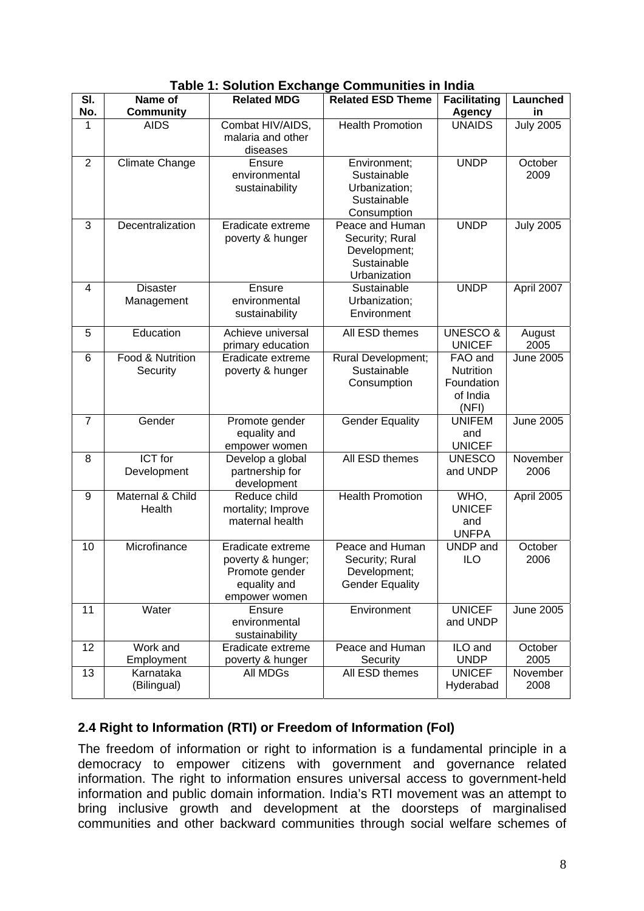| SI.            | Name of                       | <b>Related MDG</b>                                                                        | <b>Related ESD Theme</b>                                                          | <b>Facilitating</b>                                     | Launched         |
|----------------|-------------------------------|-------------------------------------------------------------------------------------------|-----------------------------------------------------------------------------------|---------------------------------------------------------|------------------|
| No.            | <b>Community</b>              |                                                                                           |                                                                                   | <b>Agency</b>                                           | in               |
| 1              | <b>AIDS</b>                   | Combat HIV/AIDS,<br>malaria and other<br>diseases                                         | <b>Health Promotion</b>                                                           | <b>UNAIDS</b>                                           | <b>July 2005</b> |
| $\overline{2}$ | <b>Climate Change</b>         | Ensure<br>environmental<br>sustainability                                                 | Environment;<br>Sustainable<br>Urbanization;<br>Sustainable<br>Consumption        | <b>UNDP</b>                                             | October<br>2009  |
| 3              | Decentralization              | Eradicate extreme<br>poverty & hunger                                                     | Peace and Human<br>Security; Rural<br>Development;<br>Sustainable<br>Urbanization | <b>UNDP</b>                                             | <b>July 2005</b> |
| $\overline{4}$ | <b>Disaster</b><br>Management | Ensure<br>environmental<br>sustainability                                                 | Sustainable<br>Urbanization;<br>Environment                                       | <b>UNDP</b>                                             | April 2007       |
| 5              | Education                     | Achieve universal<br>primary education                                                    | All ESD themes                                                                    | <b>UNESCO&amp;</b><br><b>UNICEF</b>                     | August<br>2005   |
| 6              | Food & Nutrition<br>Security  | Eradicate extreme<br>poverty & hunger                                                     | Rural Development;<br>Sustainable<br>Consumption                                  | FAO and<br>Nutrition<br>Foundation<br>of India<br>(NFI) | <b>June 2005</b> |
| $\overline{7}$ | Gender                        | Promote gender<br>equality and<br>empower women                                           | <b>Gender Equality</b>                                                            | <b>UNIFEM</b><br>and<br><b>UNICEF</b>                   | <b>June 2005</b> |
| 8              | <b>ICT</b> for<br>Development | Develop a global<br>partnership for<br>development                                        | All ESD themes                                                                    | <b>UNESCO</b><br>and UNDP                               | November<br>2006 |
| 9              | Maternal & Child<br>Health    | Reduce child<br>mortality; Improve<br>maternal health                                     | <b>Health Promotion</b>                                                           | WHO,<br><b>UNICEF</b><br>and<br><b>UNFPA</b>            | April 2005       |
| 10             | Microfinance                  | Eradicate extreme<br>poverty & hunger;<br>Promote gender<br>equality and<br>empower women | Peace and Human<br>Security; Rural<br>Development;<br><b>Gender Equality</b>      | UNDP and<br><b>ILO</b>                                  | October<br>2006  |
| 11             | Water                         | Ensure<br>environmental<br>sustainability                                                 | Environment                                                                       | <b>UNICEF</b><br>and UNDP                               | <b>June 2005</b> |
| 12             | Work and<br>Employment        | Eradicate extreme<br>poverty & hunger                                                     | Peace and Human<br>Security                                                       | ILO and<br><b>UNDP</b>                                  | October<br>2005  |
| 13             | Karnataka<br>(Bilingual)      | All MDGs                                                                                  | All ESD themes                                                                    | <b>UNICEF</b><br>Hyderabad                              | November<br>2008 |

**Table 1: Solution Exchange Communities in India** 

## **2.4 Right to Information (RTI) or Freedom of Information (FoI)**

The freedom of information or right to information is a fundamental principle in a democracy to empower citizens with government and governance related information. The right to information ensures universal access to government-held information and public domain information. India's RTI movement was an attempt to bring inclusive growth and development at the doorsteps of marginalised communities and other backward communities through social welfare schemes of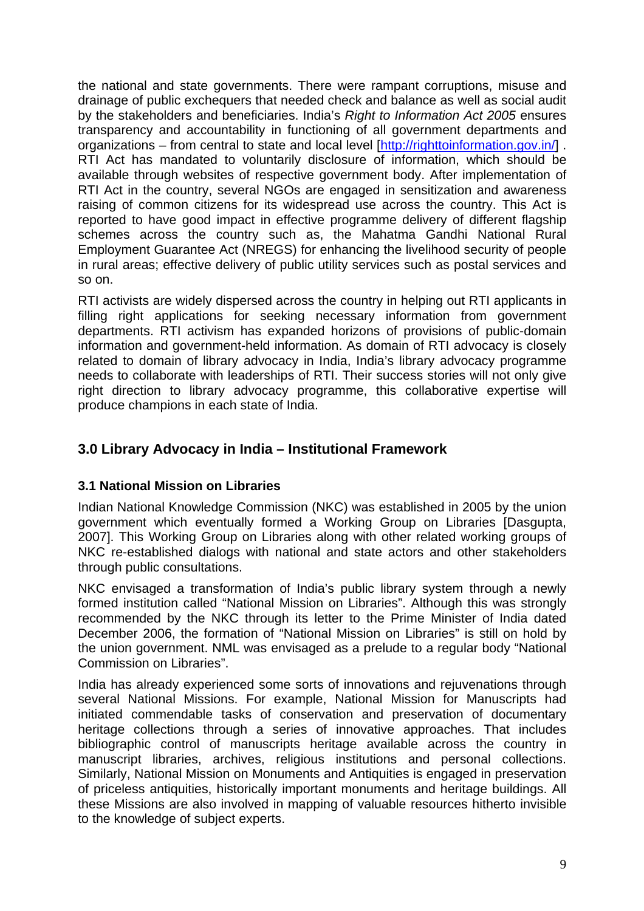the national and state governments. There were rampant corruptions, misuse and drainage of public exchequers that needed check and balance as well as social audit by the stakeholders and beneficiaries. India's *Right to Information Act 2005* ensures transparency and accountability in functioning of all government departments and organizations – from central to state and local level [http://righttoinformation.gov.in/]. RTI Act has mandated to voluntarily disclosure of information, which should be available through websites of respective government body. After implementation of RTI Act in the country, several NGOs are engaged in sensitization and awareness raising of common citizens for its widespread use across the country. This Act is reported to have good impact in effective programme delivery of different flagship schemes across the country such as, the Mahatma Gandhi National Rural Employment Guarantee Act (NREGS) for enhancing the livelihood security of people in rural areas; effective delivery of public utility services such as postal services and so on.

RTI activists are widely dispersed across the country in helping out RTI applicants in filling right applications for seeking necessary information from government departments. RTI activism has expanded horizons of provisions of public-domain information and government-held information. As domain of RTI advocacy is closely related to domain of library advocacy in India, India's library advocacy programme needs to collaborate with leaderships of RTI. Their success stories will not only give right direction to library advocacy programme, this collaborative expertise will produce champions in each state of India.

## **3.0 Library Advocacy in India – Institutional Framework**

## **3.1 National Mission on Libraries**

Indian National Knowledge Commission (NKC) was established in 2005 by the union government which eventually formed a Working Group on Libraries [Dasgupta, 2007]. This Working Group on Libraries along with other related working groups of NKC re-established dialogs with national and state actors and other stakeholders through public consultations.

NKC envisaged a transformation of India's public library system through a newly formed institution called "National Mission on Libraries". Although this was strongly recommended by the NKC through its letter to the Prime Minister of India dated December 2006, the formation of "National Mission on Libraries" is still on hold by the union government. NML was envisaged as a prelude to a regular body "National Commission on Libraries".

India has already experienced some sorts of innovations and rejuvenations through several National Missions. For example, National Mission for Manuscripts had initiated commendable tasks of conservation and preservation of documentary heritage collections through a series of innovative approaches. That includes bibliographic control of manuscripts heritage available across the country in manuscript libraries, archives, religious institutions and personal collections. Similarly, National Mission on Monuments and Antiquities is engaged in preservation of priceless antiquities, historically important monuments and heritage buildings. All these Missions are also involved in mapping of valuable resources hitherto invisible to the knowledge of subject experts.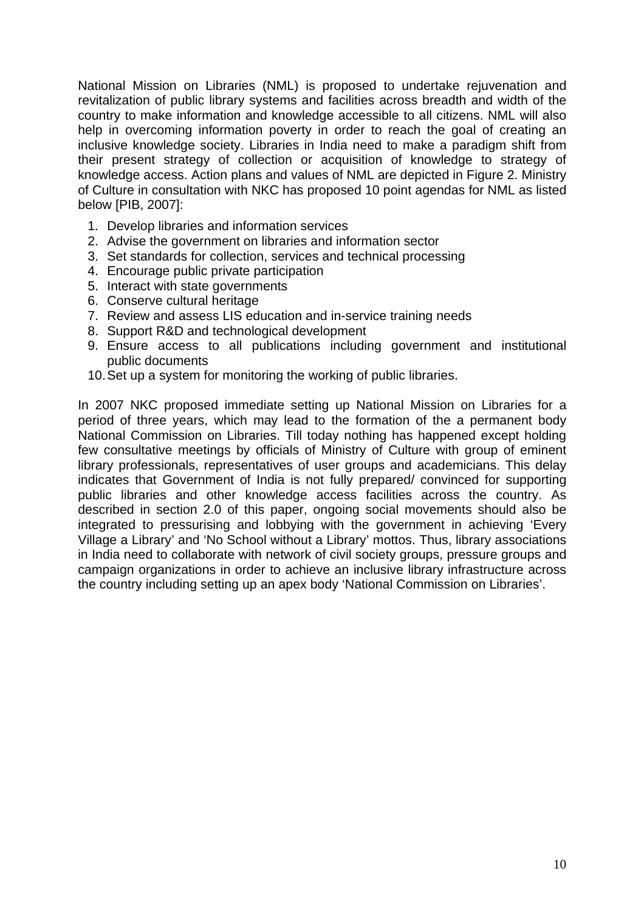National Mission on Libraries (NML) is proposed to undertake rejuvenation and revitalization of public library systems and facilities across breadth and width of the country to make information and knowledge accessible to all citizens. NML will also help in overcoming information poverty in order to reach the goal of creating an inclusive knowledge society. Libraries in India need to make a paradigm shift from their present strategy of collection or acquisition of knowledge to strategy of knowledge access. Action plans and values of NML are depicted in Figure 2. Ministry of Culture in consultation with NKC has proposed 10 point agendas for NML as listed below [PIB, 2007]:

- 1. Develop libraries and information services
- 2. Advise the government on libraries and information sector
- 3. Set standards for collection, services and technical processing
- 4. Encourage public private participation
- 5. Interact with state governments
- 6. Conserve cultural heritage
- 7. Review and assess LIS education and in-service training needs
- 8. Support R&D and technological development
- 9. Ensure access to all publications including government and institutional public documents
- 10. Set up a system for monitoring the working of public libraries.

In 2007 NKC proposed immediate setting up National Mission on Libraries for a period of three years, which may lead to the formation of the a permanent body National Commission on Libraries. Till today nothing has happened except holding few consultative meetings by officials of Ministry of Culture with group of eminent library professionals, representatives of user groups and academicians. This delay indicates that Government of India is not fully prepared/ convinced for supporting public libraries and other knowledge access facilities across the country. As described in section 2.0 of this paper, ongoing social movements should also be integrated to pressurising and lobbying with the government in achieving 'Every Village a Library' and 'No School without a Library' mottos. Thus, library associations in India need to collaborate with network of civil society groups, pressure groups and campaign organizations in order to achieve an inclusive library infrastructure across the country including setting up an apex body 'National Commission on Libraries'.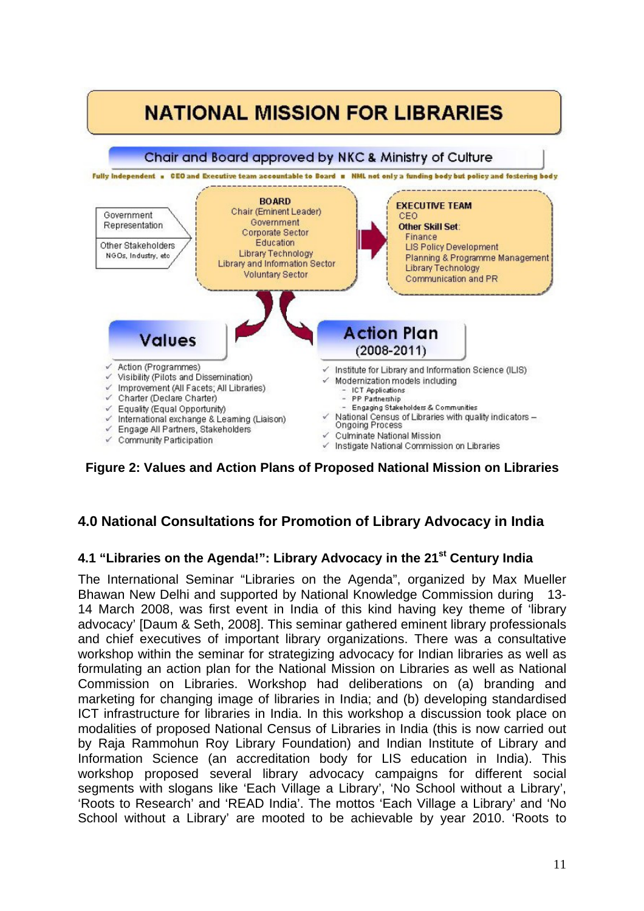

**Figure 2: Values and Action Plans of Proposed National Mission on Libraries** 

# **4.0 National Consultations for Promotion of Library Advocacy in India**

## **4.1 "Libraries on the Agenda!": Library Advocacy in the 21st Century India**

The International Seminar "Libraries on the Agenda", organized by Max Mueller Bhawan New Delhi and supported by National Knowledge Commission during 13- 14 March 2008, was first event in India of this kind having key theme of 'library advocacy' [Daum & Seth, 2008]. This seminar gathered eminent library professionals and chief executives of important library organizations. There was a consultative workshop within the seminar for strategizing advocacy for Indian libraries as well as formulating an action plan for the National Mission on Libraries as well as National Commission on Libraries. Workshop had deliberations on (a) branding and marketing for changing image of libraries in India; and (b) developing standardised ICT infrastructure for libraries in India. In this workshop a discussion took place on modalities of proposed National Census of Libraries in India (this is now carried out by Raja Rammohun Roy Library Foundation) and Indian Institute of Library and Information Science (an accreditation body for LIS education in India). This workshop proposed several library advocacy campaigns for different social segments with slogans like 'Each Village a Library', 'No School without a Library', 'Roots to Research' and 'READ India'. The mottos 'Each Village a Library' and 'No School without a Library' are mooted to be achievable by year 2010. 'Roots to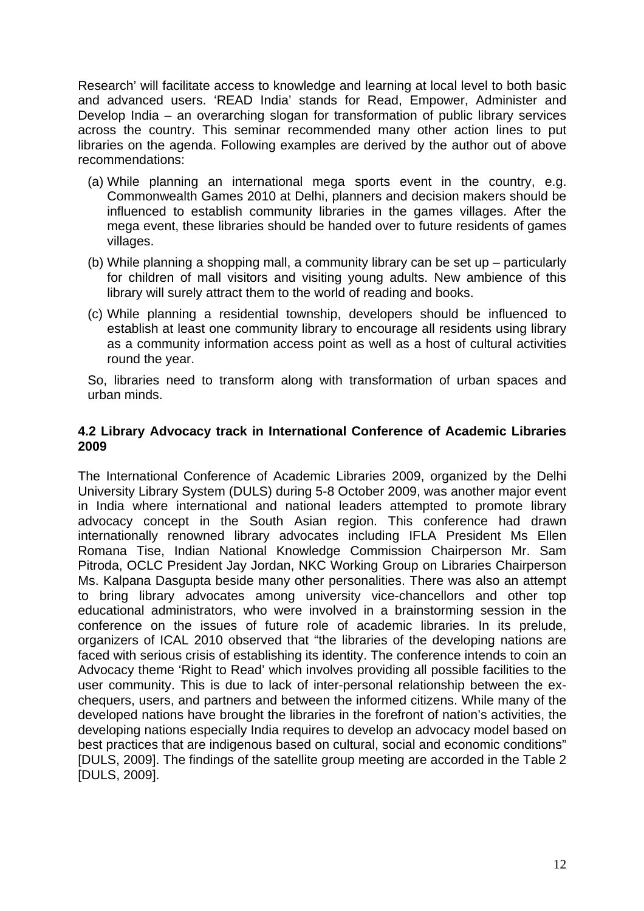Research' will facilitate access to knowledge and learning at local level to both basic and advanced users. 'READ India' stands for Read, Empower, Administer and Develop India – an overarching slogan for transformation of public library services across the country. This seminar recommended many other action lines to put libraries on the agenda. Following examples are derived by the author out of above recommendations:

- (a) While planning an international mega sports event in the country, e.g. Commonwealth Games 2010 at Delhi, planners and decision makers should be influenced to establish community libraries in the games villages. After the mega event, these libraries should be handed over to future residents of games villages.
- (b) While planning a shopping mall, a community library can be set up particularly for children of mall visitors and visiting young adults. New ambience of this library will surely attract them to the world of reading and books.
- (c) While planning a residential township, developers should be influenced to establish at least one community library to encourage all residents using library as a community information access point as well as a host of cultural activities round the year.

So, libraries need to transform along with transformation of urban spaces and urban minds.

#### **4.2 Library Advocacy track in International Conference of Academic Libraries 2009**

The International Conference of Academic Libraries 2009, organized by the Delhi University Library System (DULS) during 5-8 October 2009, was another major event in India where international and national leaders attempted to promote library advocacy concept in the South Asian region. This conference had drawn internationally renowned library advocates including IFLA President Ms Ellen Romana Tise, Indian National Knowledge Commission Chairperson Mr. Sam Pitroda, OCLC President Jay Jordan, NKC Working Group on Libraries Chairperson Ms. Kalpana Dasgupta beside many other personalities. There was also an attempt to bring library advocates among university vice-chancellors and other top educational administrators, who were involved in a brainstorming session in the conference on the issues of future role of academic libraries. In its prelude, organizers of ICAL 2010 observed that "the libraries of the developing nations are faced with serious crisis of establishing its identity. The conference intends to coin an Advocacy theme 'Right to Read' which involves providing all possible facilities to the user community. This is due to lack of inter-personal relationship between the exchequers, users, and partners and between the informed citizens. While many of the developed nations have brought the libraries in the forefront of nation's activities, the developing nations especially India requires to develop an advocacy model based on best practices that are indigenous based on cultural, social and economic conditions" [DULS, 2009]. The findings of the satellite group meeting are accorded in the Table 2 [DULS, 2009].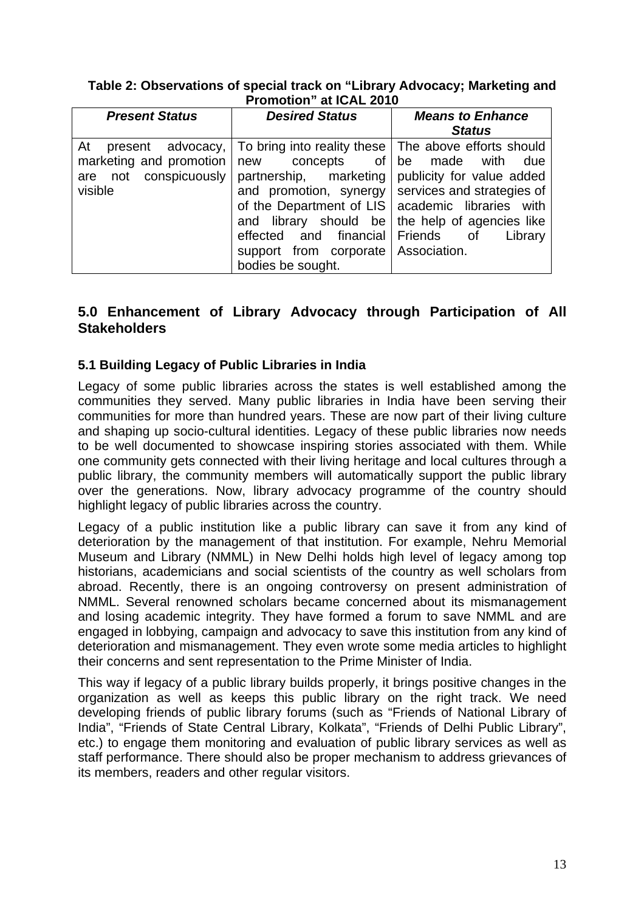#### **Table 2: Observations of special track on "Library Advocacy; Marketing and Promotion" at ICAL 2010**

| <b>Present Status</b>                                                                  | <b>Desired Status</b>                                                                                                                                                                                                                                                                                                                                   | <b>Means to Enhance</b><br><b>Status</b>                                 |
|----------------------------------------------------------------------------------------|---------------------------------------------------------------------------------------------------------------------------------------------------------------------------------------------------------------------------------------------------------------------------------------------------------------------------------------------------------|--------------------------------------------------------------------------|
| At present<br>advocacy,<br>marketing and promotion<br>are not conspicuously<br>visible | To bring into reality these   The above efforts should<br>new concepts of be made with<br>partnership, marketing<br>and promotion, synergy   services and strategies of<br>of the Department of LIS   academic libraries with<br>and library should be<br>effected and financial Friends of<br>support from corporate Association.<br>bodies be sought. | due<br>publicity for value added<br>the help of agencies like<br>Library |

## **5.0 Enhancement of Library Advocacy through Participation of All Stakeholders**

## **5.1 Building Legacy of Public Libraries in India**

Legacy of some public libraries across the states is well established among the communities they served. Many public libraries in India have been serving their communities for more than hundred years. These are now part of their living culture and shaping up socio-cultural identities. Legacy of these public libraries now needs to be well documented to showcase inspiring stories associated with them. While one community gets connected with their living heritage and local cultures through a public library, the community members will automatically support the public library over the generations. Now, library advocacy programme of the country should highlight legacy of public libraries across the country.

Legacy of a public institution like a public library can save it from any kind of deterioration by the management of that institution. For example, Nehru Memorial Museum and Library (NMML) in New Delhi holds high level of legacy among top historians, academicians and social scientists of the country as well scholars from abroad. Recently, there is an ongoing controversy on present administration of NMML. Several renowned scholars became concerned about its mismanagement and losing academic integrity. They have formed a forum to save NMML and are engaged in lobbying, campaign and advocacy to save this institution from any kind of deterioration and mismanagement. They even wrote some media articles to highlight their concerns and sent representation to the Prime Minister of India.

This way if legacy of a public library builds properly, it brings positive changes in the organization as well as keeps this public library on the right track. We need developing friends of public library forums (such as "Friends of National Library of India", "Friends of State Central Library, Kolkata", "Friends of Delhi Public Library", etc.) to engage them monitoring and evaluation of public library services as well as staff performance. There should also be proper mechanism to address grievances of its members, readers and other regular visitors.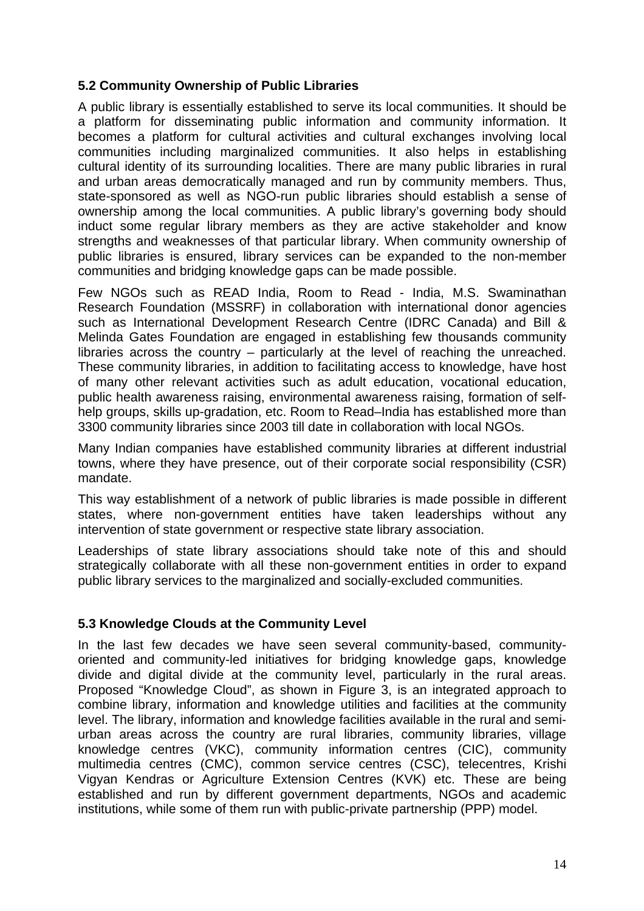#### **5.2 Community Ownership of Public Libraries**

A public library is essentially established to serve its local communities. It should be a platform for disseminating public information and community information. It becomes a platform for cultural activities and cultural exchanges involving local communities including marginalized communities. It also helps in establishing cultural identity of its surrounding localities. There are many public libraries in rural and urban areas democratically managed and run by community members. Thus, state-sponsored as well as NGO-run public libraries should establish a sense of ownership among the local communities. A public library's governing body should induct some regular library members as they are active stakeholder and know strengths and weaknesses of that particular library. When community ownership of public libraries is ensured, library services can be expanded to the non-member communities and bridging knowledge gaps can be made possible.

Few NGOs such as READ India, Room to Read - India, M.S. Swaminathan Research Foundation (MSSRF) in collaboration with international donor agencies such as International Development Research Centre (IDRC Canada) and Bill & Melinda Gates Foundation are engaged in establishing few thousands community libraries across the country – particularly at the level of reaching the unreached. These community libraries, in addition to facilitating access to knowledge, have host of many other relevant activities such as adult education, vocational education, public health awareness raising, environmental awareness raising, formation of selfhelp groups, skills up-gradation, etc. Room to Read–India has established more than 3300 community libraries since 2003 till date in collaboration with local NGOs.

Many Indian companies have established community libraries at different industrial towns, where they have presence, out of their corporate social responsibility (CSR) mandate.

This way establishment of a network of public libraries is made possible in different states, where non-government entities have taken leaderships without any intervention of state government or respective state library association.

Leaderships of state library associations should take note of this and should strategically collaborate with all these non-government entities in order to expand public library services to the marginalized and socially-excluded communities.

## **5.3 Knowledge Clouds at the Community Level**

In the last few decades we have seen several community-based, communityoriented and community-led initiatives for bridging knowledge gaps, knowledge divide and digital divide at the community level, particularly in the rural areas. Proposed "Knowledge Cloud", as shown in Figure 3, is an integrated approach to combine library, information and knowledge utilities and facilities at the community level. The library, information and knowledge facilities available in the rural and semiurban areas across the country are rural libraries, community libraries, village knowledge centres (VKC), community information centres (CIC), community multimedia centres (CMC), common service centres (CSC), telecentres, Krishi Vigyan Kendras or Agriculture Extension Centres (KVK) etc. These are being established and run by different government departments, NGOs and academic institutions, while some of them run with public-private partnership (PPP) model.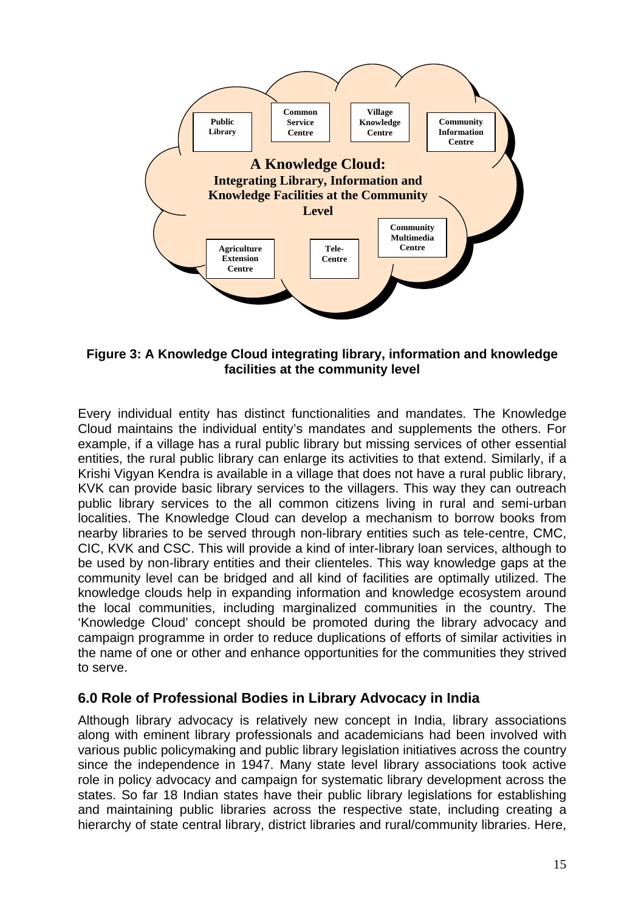

**Figure 3: A Knowledge Cloud integrating library, information and knowledge facilities at the community level** 

Every individual entity has distinct functionalities and mandates. The Knowledge Cloud maintains the individual entity's mandates and supplements the others. For example, if a village has a rural public library but missing services of other essential entities, the rural public library can enlarge its activities to that extend. Similarly, if a Krishi Vigyan Kendra is available in a village that does not have a rural public library, KVK can provide basic library services to the villagers. This way they can outreach public library services to the all common citizens living in rural and semi-urban localities. The Knowledge Cloud can develop a mechanism to borrow books from nearby libraries to be served through non-library entities such as tele-centre, CMC, CIC, KVK and CSC. This will provide a kind of inter-library loan services, although to be used by non-library entities and their clienteles. This way knowledge gaps at the community level can be bridged and all kind of facilities are optimally utilized. The knowledge clouds help in expanding information and knowledge ecosystem around the local communities, including marginalized communities in the country. The 'Knowledge Cloud' concept should be promoted during the library advocacy and campaign programme in order to reduce duplications of efforts of similar activities in the name of one or other and enhance opportunities for the communities they strived to serve.

## **6.0 Role of Professional Bodies in Library Advocacy in India**

Although library advocacy is relatively new concept in India, library associations along with eminent library professionals and academicians had been involved with various public policymaking and public library legislation initiatives across the country since the independence in 1947. Many state level library associations took active role in policy advocacy and campaign for systematic library development across the states. So far 18 Indian states have their public library legislations for establishing and maintaining public libraries across the respective state, including creating a hierarchy of state central library, district libraries and rural/community libraries. Here,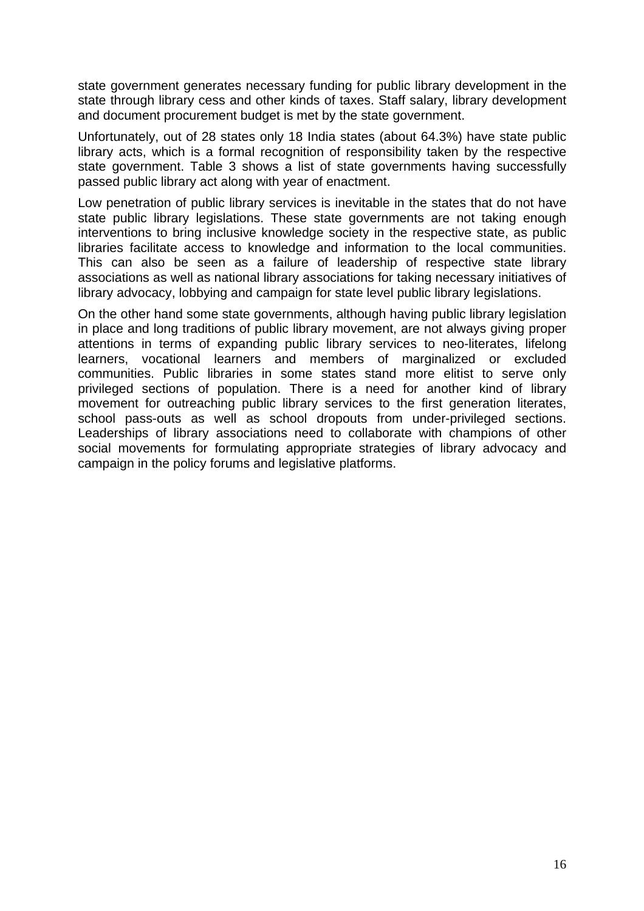state government generates necessary funding for public library development in the state through library cess and other kinds of taxes. Staff salary, library development and document procurement budget is met by the state government.

Unfortunately, out of 28 states only 18 India states (about 64.3%) have state public library acts, which is a formal recognition of responsibility taken by the respective state government. Table 3 shows a list of state governments having successfully passed public library act along with year of enactment.

Low penetration of public library services is inevitable in the states that do not have state public library legislations. These state governments are not taking enough interventions to bring inclusive knowledge society in the respective state, as public libraries facilitate access to knowledge and information to the local communities. This can also be seen as a failure of leadership of respective state library associations as well as national library associations for taking necessary initiatives of library advocacy, lobbying and campaign for state level public library legislations.

On the other hand some state governments, although having public library legislation in place and long traditions of public library movement, are not always giving proper attentions in terms of expanding public library services to neo-literates, lifelong learners, vocational learners and members of marginalized or excluded communities. Public libraries in some states stand more elitist to serve only privileged sections of population. There is a need for another kind of library movement for outreaching public library services to the first generation literates, school pass-outs as well as school dropouts from under-privileged sections. Leaderships of library associations need to collaborate with champions of other social movements for formulating appropriate strategies of library advocacy and campaign in the policy forums and legislative platforms.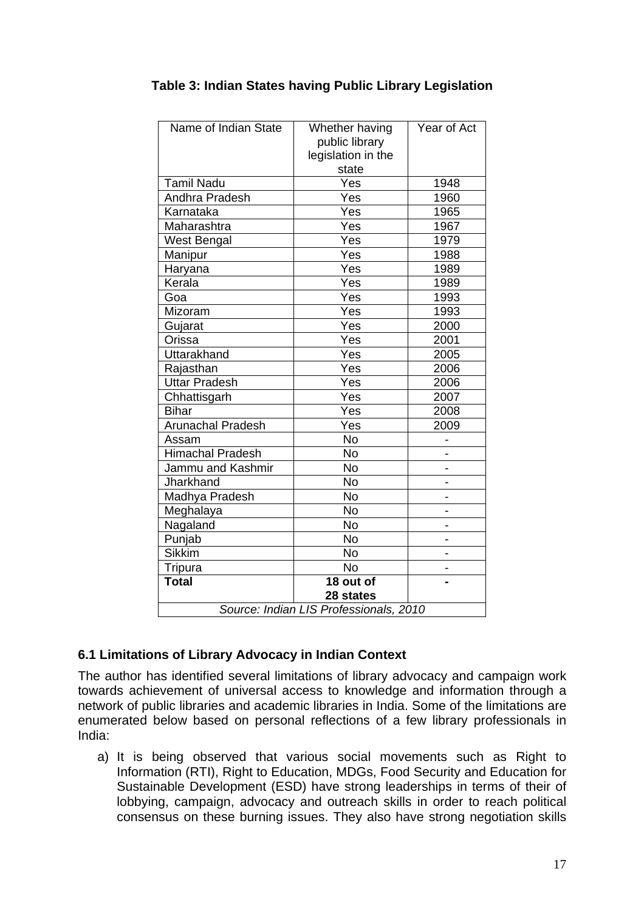| Name of Indian State                   | Whether having<br>public library<br>legislation in the<br>state | Year of Act |  |  |  |  |
|----------------------------------------|-----------------------------------------------------------------|-------------|--|--|--|--|
| <b>Tamil Nadu</b>                      | Yes                                                             | 1948        |  |  |  |  |
| Andhra Pradesh                         | Yes                                                             | 1960        |  |  |  |  |
| Karnataka                              | Yes                                                             | 1965        |  |  |  |  |
| Maharashtra                            | Yes                                                             | 1967        |  |  |  |  |
| West Bengal                            | Yes                                                             | 1979        |  |  |  |  |
| Manipur                                | Yes                                                             | 1988        |  |  |  |  |
| Haryana                                | Yes                                                             | 1989        |  |  |  |  |
| Kerala                                 | Yes                                                             | 1989        |  |  |  |  |
| Goa                                    | Yes                                                             | 1993        |  |  |  |  |
| Mizoram                                | Yes                                                             | 1993        |  |  |  |  |
| Gujarat                                | Yes                                                             | 2000        |  |  |  |  |
| Orissa                                 | Yes                                                             | 2001        |  |  |  |  |
| Uttarakhand                            | Yes                                                             | 2005        |  |  |  |  |
| Rajasthan                              | Yes                                                             | 2006        |  |  |  |  |
| <b>Uttar Pradesh</b>                   | Yes                                                             | 2006        |  |  |  |  |
| Chhattisgarh                           | Yes                                                             | 2007        |  |  |  |  |
| <b>Bihar</b>                           | Yes                                                             | 2008        |  |  |  |  |
| <b>Arunachal Pradesh</b>               | Yes                                                             | 2009        |  |  |  |  |
| Assam                                  | No                                                              |             |  |  |  |  |
| <b>Himachal Pradesh</b>                | <b>No</b>                                                       |             |  |  |  |  |
| Jammu and Kashmir                      | <b>No</b>                                                       |             |  |  |  |  |
| Jharkhand                              | <b>No</b>                                                       |             |  |  |  |  |
| Madhya Pradesh                         | <b>No</b>                                                       |             |  |  |  |  |
| Meghalaya                              | <b>No</b>                                                       |             |  |  |  |  |
| Nagaland                               | <b>No</b>                                                       |             |  |  |  |  |
| Punjab                                 | <b>No</b>                                                       |             |  |  |  |  |
| <b>Sikkim</b>                          | <b>No</b>                                                       |             |  |  |  |  |
| Tripura                                | No                                                              |             |  |  |  |  |
| <b>Total</b>                           | 18 out of                                                       |             |  |  |  |  |
| 28 states                              |                                                                 |             |  |  |  |  |
| Source: Indian LIS Professionals, 2010 |                                                                 |             |  |  |  |  |

## **Table 3: Indian States having Public Library Legislation**

## **6.1 Limitations of Library Advocacy in Indian Context**

The author has identified several limitations of library advocacy and campaign work towards achievement of universal access to knowledge and information through a network of public libraries and academic libraries in India. Some of the limitations are enumerated below based on personal reflections of a few library professionals in India:

a) It is being observed that various social movements such as Right to Information (RTI), Right to Education, MDGs, Food Security and Education for Sustainable Development (ESD) have strong leaderships in terms of their of lobbying, campaign, advocacy and outreach skills in order to reach political consensus on these burning issues. They also have strong negotiation skills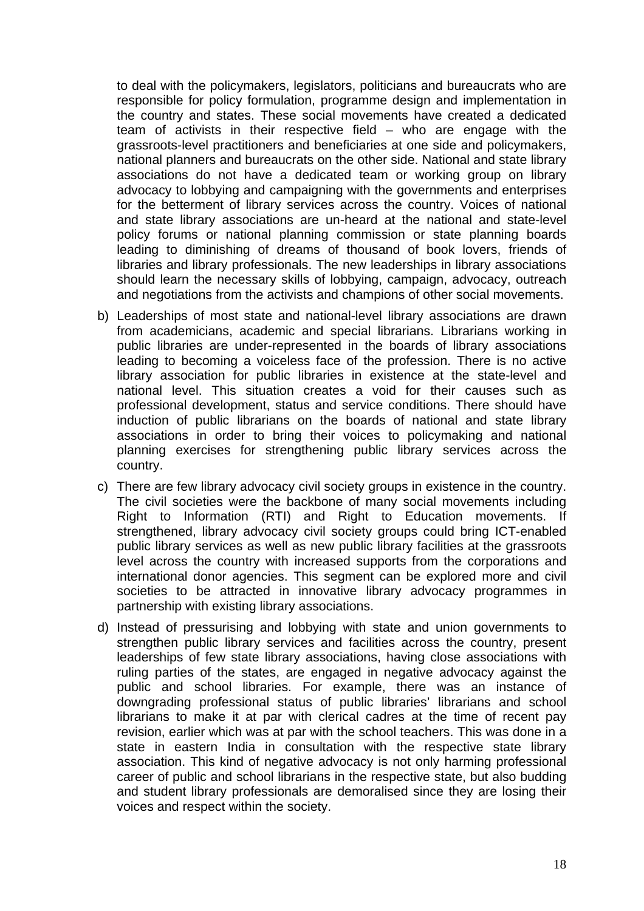to deal with the policymakers, legislators, politicians and bureaucrats who are responsible for policy formulation, programme design and implementation in the country and states. These social movements have created a dedicated team of activists in their respective field – who are engage with the grassroots-level practitioners and beneficiaries at one side and policymakers, national planners and bureaucrats on the other side. National and state library associations do not have a dedicated team or working group on library advocacy to lobbying and campaigning with the governments and enterprises for the betterment of library services across the country. Voices of national and state library associations are un-heard at the national and state-level policy forums or national planning commission or state planning boards leading to diminishing of dreams of thousand of book lovers, friends of libraries and library professionals. The new leaderships in library associations should learn the necessary skills of lobbying, campaign, advocacy, outreach and negotiations from the activists and champions of other social movements.

- b) Leaderships of most state and national-level library associations are drawn from academicians, academic and special librarians. Librarians working in public libraries are under-represented in the boards of library associations leading to becoming a voiceless face of the profession. There is no active library association for public libraries in existence at the state-level and national level. This situation creates a void for their causes such as professional development, status and service conditions. There should have induction of public librarians on the boards of national and state library associations in order to bring their voices to policymaking and national planning exercises for strengthening public library services across the country.
- c) There are few library advocacy civil society groups in existence in the country. The civil societies were the backbone of many social movements including Right to Information (RTI) and Right to Education movements. If strengthened, library advocacy civil society groups could bring ICT-enabled public library services as well as new public library facilities at the grassroots level across the country with increased supports from the corporations and international donor agencies. This segment can be explored more and civil societies to be attracted in innovative library advocacy programmes in partnership with existing library associations.
- d) Instead of pressurising and lobbying with state and union governments to strengthen public library services and facilities across the country, present leaderships of few state library associations, having close associations with ruling parties of the states, are engaged in negative advocacy against the public and school libraries. For example, there was an instance of downgrading professional status of public libraries' librarians and school librarians to make it at par with clerical cadres at the time of recent pay revision, earlier which was at par with the school teachers. This was done in a state in eastern India in consultation with the respective state library association. This kind of negative advocacy is not only harming professional career of public and school librarians in the respective state, but also budding and student library professionals are demoralised since they are losing their voices and respect within the society.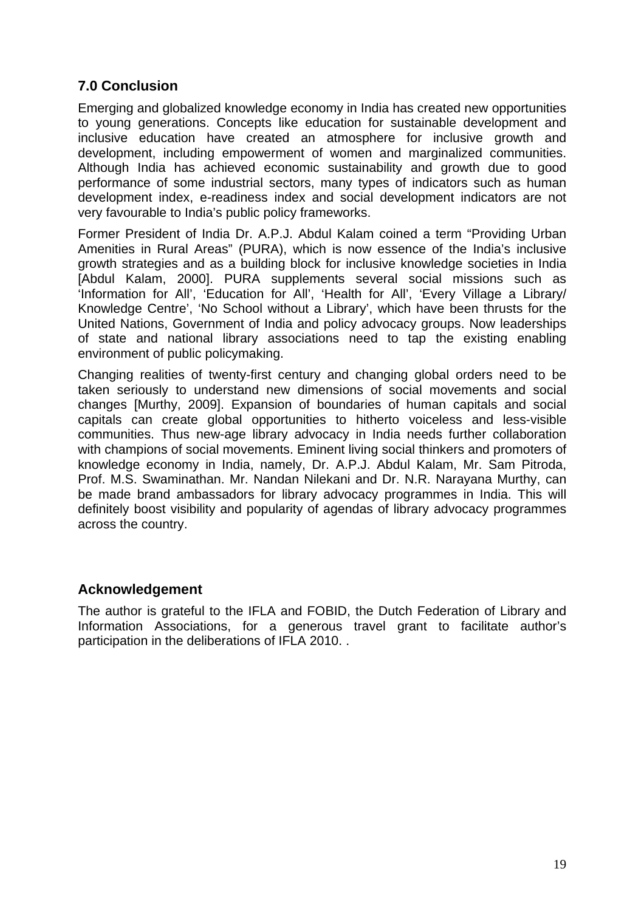## **7.0 Conclusion**

Emerging and globalized knowledge economy in India has created new opportunities to young generations. Concepts like education for sustainable development and inclusive education have created an atmosphere for inclusive growth and development, including empowerment of women and marginalized communities. Although India has achieved economic sustainability and growth due to good performance of some industrial sectors, many types of indicators such as human development index, e-readiness index and social development indicators are not very favourable to India's public policy frameworks.

Former President of India Dr. A.P.J. Abdul Kalam coined a term "Providing Urban Amenities in Rural Areas" (PURA), which is now essence of the India's inclusive growth strategies and as a building block for inclusive knowledge societies in India [Abdul Kalam, 2000]. PURA supplements several social missions such as 'Information for All', 'Education for All', 'Health for All', 'Every Village a Library/ Knowledge Centre', 'No School without a Library', which have been thrusts for the United Nations, Government of India and policy advocacy groups. Now leaderships of state and national library associations need to tap the existing enabling environment of public policymaking.

Changing realities of twenty-first century and changing global orders need to be taken seriously to understand new dimensions of social movements and social changes [Murthy, 2009]. Expansion of boundaries of human capitals and social capitals can create global opportunities to hitherto voiceless and less-visible communities. Thus new-age library advocacy in India needs further collaboration with champions of social movements. Eminent living social thinkers and promoters of knowledge economy in India, namely, Dr. A.P.J. Abdul Kalam, Mr. Sam Pitroda, Prof. M.S. Swaminathan. Mr. Nandan Nilekani and Dr. N.R. Narayana Murthy, can be made brand ambassadors for library advocacy programmes in India. This will definitely boost visibility and popularity of agendas of library advocacy programmes across the country.

## **Acknowledgement**

The author is grateful to the IFLA and FOBID, the Dutch Federation of Library and Information Associations, for a generous travel grant to facilitate author's participation in the deliberations of IFLA 2010. .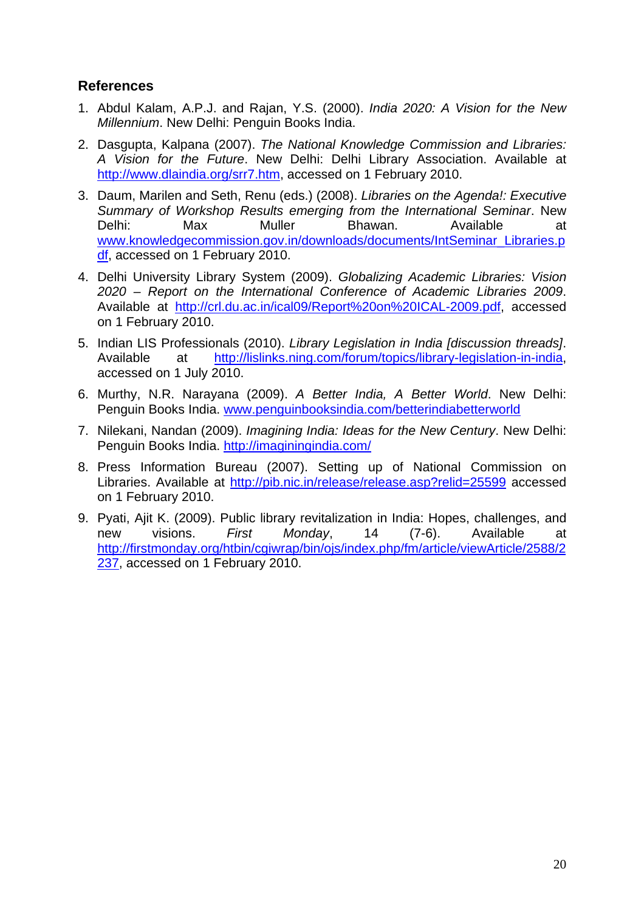## **References**

- 1. Abdul Kalam, A.P.J. and Rajan, Y.S. (2000). *India 2020: A Vision for the New Millennium*. New Delhi: Penguin Books India.
- 2. Dasgupta, Kalpana (2007). *The National Knowledge Commission and Libraries: A Vision for the Future*. New Delhi: Delhi Library Association. Available at http://www.dlaindia.org/srr7.htm, accessed on 1 February 2010.
- 3. Daum, Marilen and Seth, Renu (eds.) (2008). *Libraries on the Agenda!: Executive Summary of Workshop Results emerging from the International Seminar*. New Delhi: Max Muller Bhawan. Available at www.knowledgecommission.gov.in/downloads/documents/IntSeminar\_Libraries.p df, accessed on 1 February 2010.
- 4. Delhi University Library System (2009). *Globalizing Academic Libraries: Vision 2020 – Report on the International Conference of Academic Libraries 2009*. Available at http://crl.du.ac.in/ical09/Report%20on%20ICAL-2009.pdf, accessed on 1 February 2010.
- 5. Indian LIS Professionals (2010). *Library Legislation in India [discussion threads]*. Available at http://lislinks.ning.com/forum/topics/library-legislation-in-india, accessed on 1 July 2010.
- 6. Murthy, N.R. Narayana (2009). *A Better India, A Better World*. New Delhi: Penguin Books India. www.penguinbooksindia.com/betterindiabetterworld
- 7. Nilekani, Nandan (2009). *Imagining India: Ideas for the New Century*. New Delhi: Penguin Books India. http://imaginingindia.com/
- 8. Press Information Bureau (2007). Setting up of National Commission on Libraries. Available at http://pib.nic.in/release/release.asp?relid=25599 accessed on 1 February 2010.
- 9. Pyati, Ajit K. (2009). Public library revitalization in India: Hopes, challenges, and new visions. *First Monday*, 14 (7-6). Available at http://firstmonday.org/htbin/cgiwrap/bin/ojs/index.php/fm/article/viewArticle/2588/2 237, accessed on 1 February 2010.